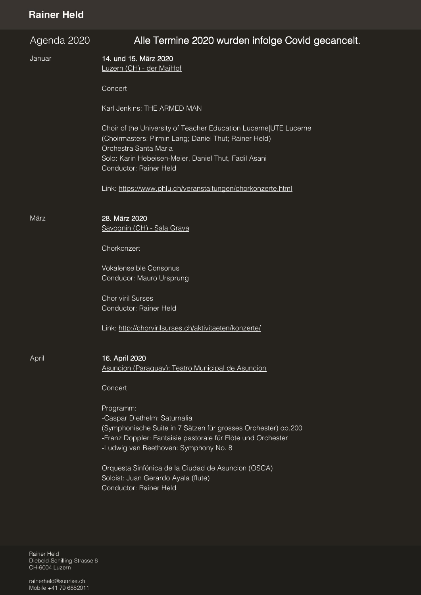## **Rainer Held**

| Agenda 2020 | Alle Termine 2020 wurden infolge Covid gecancelt.                                                                                                                                                                                    |
|-------------|--------------------------------------------------------------------------------------------------------------------------------------------------------------------------------------------------------------------------------------|
| Januar      | 14. und 15. März 2020<br>Luzern (CH) - der MaiHof                                                                                                                                                                                    |
|             | Concert                                                                                                                                                                                                                              |
|             | Karl Jenkins: THE ARMED MAN                                                                                                                                                                                                          |
|             | Choir of the University of Teacher Education Lucerne UTE Lucerne<br>(Choirmasters: Pirmin Lang; Daniel Thut; Rainer Held)<br>Orchestra Santa Maria<br>Solo: Karin Hebeisen-Meier, Daniel Thut, Fadil Asani<br>Conductor: Rainer Held |
|             | Link: https://www.phlu.ch/veranstaltungen/chorkonzerte.html                                                                                                                                                                          |
|             |                                                                                                                                                                                                                                      |
| März        | 28. März 2020<br>Savognin (CH) - Sala Grava                                                                                                                                                                                          |
|             | Chorkonzert                                                                                                                                                                                                                          |
|             | <b>Vokalenselble Consonus</b><br>Conducor: Mauro Ursprung                                                                                                                                                                            |
|             | <b>Chor viril Surses</b><br>Conductor: Rainer Held                                                                                                                                                                                   |
|             | Link: http://chorvirilsurses.ch/aktivitaeten/konzerte/                                                                                                                                                                               |
| April       | 16. April 2020                                                                                                                                                                                                                       |
|             | Asuncion (Paraguay); Teatro Municipal de Asuncion                                                                                                                                                                                    |
|             | Concert                                                                                                                                                                                                                              |
|             | Programm:<br>-Caspar Diethelm: Saturnalia<br>(Symphonische Suite in 7 Sätzen für grosses Orchester) op.200<br>-Franz Doppler: Fantaisie pastorale für Flöte und Orchester<br>-Ludwig van Beethoven: Symphony No. 8                   |
|             | Orquesta Sinfónica de la Ciudad de Asuncion (OSCA)<br>Soloist: Juan Gerardo Ayala (flute)<br>Conductor: Rainer Held                                                                                                                  |

Rainer Held<br>Diebold-Schilling-Strasse 6 CH-6004 Luzern

rainerheld@sunrise.ch Mobile +41 79 6882011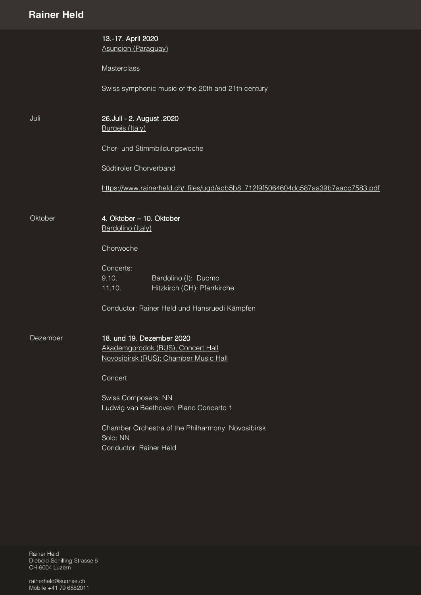| <b>Hallier Heid</b> |                                                                                                         |
|---------------------|---------------------------------------------------------------------------------------------------------|
|                     | 13.-17. April 2020<br><b>Asuncion (Paraguay)</b>                                                        |
|                     | Masterclass                                                                                             |
|                     | Swiss symphonic music of the 20th and 21th century                                                      |
| Juli                | 26. Juli - 2. August . 2020<br><b>Burgeis (Italy)</b>                                                   |
|                     | Chor- und Stimmbildungswoche                                                                            |
|                     | Südtiroler Chorverband                                                                                  |
|                     | https://www.rainerheld.ch/ files/ugd/acb5b8 712f9f5064604dc587aa39b7aacc7583.pdf                        |
| Oktober             | 4. Oktober - 10. Oktober<br>Bardolino (Italy)                                                           |
|                     | Chorwoche                                                                                               |
|                     | Concerts:                                                                                               |
|                     | 9.10.<br>Bardolino (I): Duomo<br>Hitzkirch (CH): Pfarrkirche<br>11.10.                                  |
|                     | Conductor: Rainer Held und Hansruedi Kämpfen                                                            |
| Dezember            | 18. und 19. Dezember 2020<br>Akademgorodok (RUS); Concert Hall<br>Novosibirsk (RUS); Chamber Music Hall |
|                     | Concert                                                                                                 |
|                     | <b>Swiss Composers: NN</b><br>Ludwig van Beethoven: Piano Concerto 1                                    |
|                     |                                                                                                         |
|                     | Chamber Orchestra of the Philharmony Novosibirsk<br>Solo: NN                                            |
|                     | Conductor: Rainer Held                                                                                  |

Rainer Held<br>Diebold-Schilling-Strasse 6 CH-6004 Luzern

rainerheld@sunrise.ch Mobile +41 79 6882011